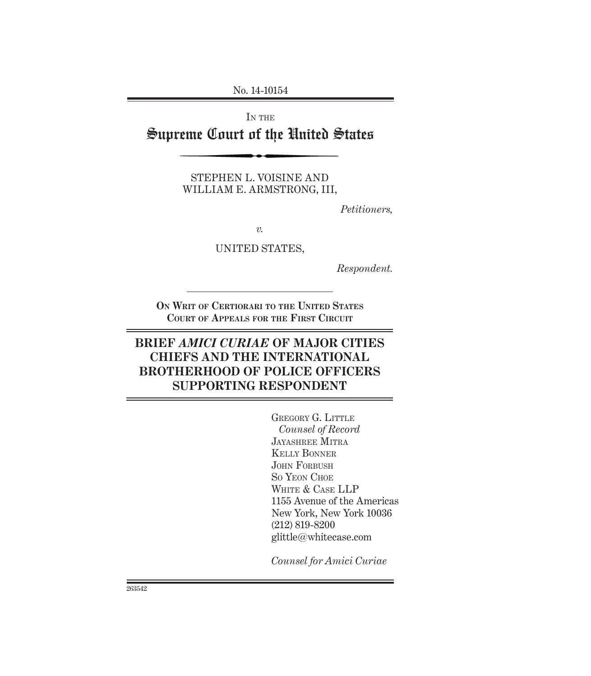No. 14-10154

IN THE

# Supreme Court of the United States

STEPHEN L. VOISINE AND WILLIAM E. ARMSTRONG, III,

*Petitioners,*

*v.*

UNITED STATES,

*Respondent.*

**ON WRIT OF CERTIORARI TO THE UNITED STATES COURT OF APPEALS FOR THE FIRST CIRCUIT**

## **BRIEF** *AMICI CURIAE* **OF MAJOR CITIES CHIEFS AND THE INTERNATIONAL BROTHERHOOD OF POLICE OFFICERS SUPPORTING RESPONDENT**

GREGORY G. LITTLE *Counsel of Record* JAYASHREE MITRA KELLY BONNER JOHN FORBUSH SO YEON CHOE WHITE & CASE LLP 1155 Avenue of the Americas New York, New York 10036 (212) 819-8200 glittle@whitecase.com

*Counsel for Amici Curiae*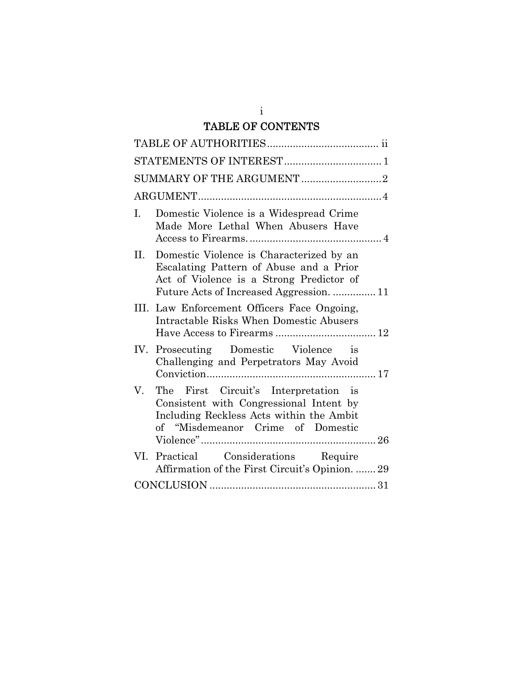## TABLE OF CONTENTS

| I.<br>Domestic Violence is a Widespread Crime<br>Made More Lethal When Abusers Have                                                                                                |
|------------------------------------------------------------------------------------------------------------------------------------------------------------------------------------|
| Domestic Violence is Characterized by an<br>II.<br>Escalating Pattern of Abuse and a Prior<br>Act of Violence is a Strong Predictor of<br>Future Acts of Increased Aggression.  11 |
| III. Law Enforcement Officers Face Ongoing,<br>Intractable Risks When Domestic Abusers                                                                                             |
| IV. Prosecuting Domestic Violence is<br>Challenging and Perpetrators May Avoid                                                                                                     |
| The First Circuit's Interpretation is<br>V.<br>Consistent with Congressional Intent by<br>Including Reckless Acts within the Ambit<br>of "Misdemeanor Crime of Domestic            |
| VI. Practical Considerations Require<br>Affirmation of the First Circuit's Opinion.  29                                                                                            |
|                                                                                                                                                                                    |

i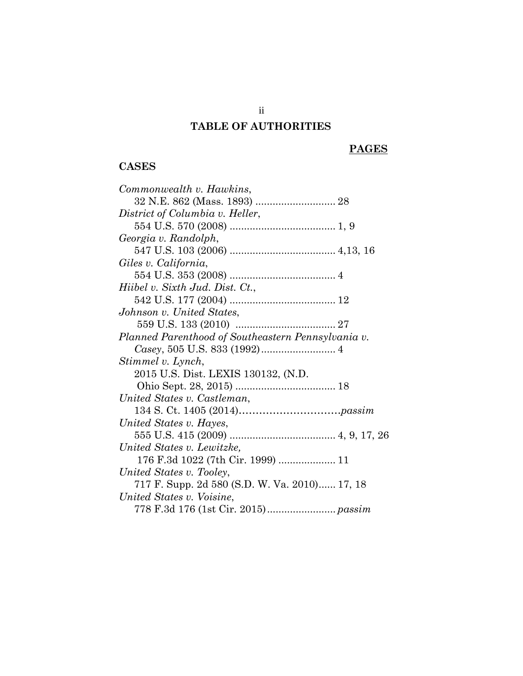## **TABLE OF AUTHORITIES**

## **PAGES**

## **CASES**

| Commonwealth v. Hawkins,                           |
|----------------------------------------------------|
|                                                    |
| District of Columbia v. Heller,                    |
|                                                    |
| Georgia v. Randolph,                               |
|                                                    |
| Giles v. California,                               |
|                                                    |
| Hiibel v. Sixth Jud. Dist. Ct.,                    |
|                                                    |
| Johnson v. United States,                          |
|                                                    |
| Planned Parenthood of Southeastern Pennsylvania v. |
|                                                    |
| Stimmel v. Lynch,                                  |
| 2015 U.S. Dist. LEXIS 130132, (N.D.                |
|                                                    |
| United States v. Castleman,                        |
|                                                    |
| United States v. Hayes,                            |
|                                                    |
| United States v. Lewitzke,                         |
| 176 F.3d 1022 (7th Cir. 1999)  11                  |
| United States v. Tooley,                           |
| 717 F. Supp. 2d 580 (S.D. W. Va. 2010) 17, 18      |
| United States v. Voisine,                          |
|                                                    |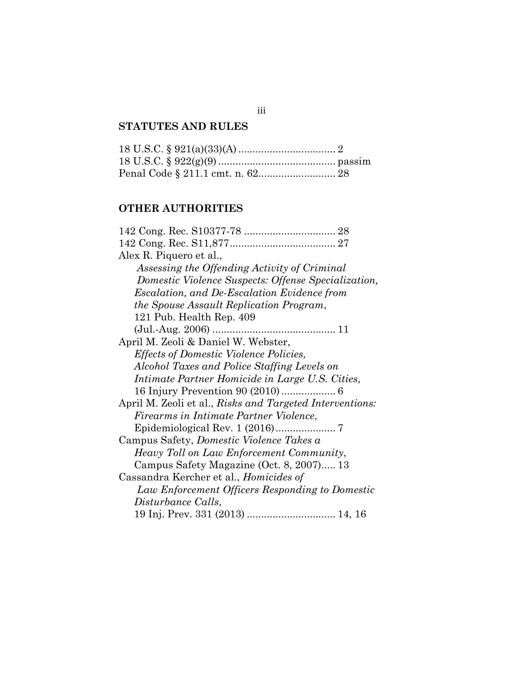## **STATUTES AND RULES**

## **OTHER AUTHORITIES**

| Alex R. Piquero et al.,                                  |
|----------------------------------------------------------|
| Assessing the Offending Activity of Criminal             |
| Domestic Violence Suspects: Offense Specialization,      |
| <i>Escalation, and De-Escalation Evidence from</i>       |
| the Spouse Assault Replication Program,                  |
| 121 Pub. Health Rep. 409                                 |
|                                                          |
| April M. Zeoli & Daniel W. Webster,                      |
| <i>Effects of Domestic Violence Policies,</i>            |
| Alcohol Taxes and Police Staffing Levels on              |
| Intimate Partner Homicide in Large U.S. Cities,          |
|                                                          |
| April M. Zeoli et al., Risks and Targeted Interventions: |
| Firearms in Intimate Partner Violence,                   |
|                                                          |
| Campus Safety, <i>Domestic Violence Takes a</i>          |
| Heavy Toll on Law Enforcement Community,                 |
| Campus Safety Magazine (Oct. 8, 2007) 13                 |
| Cassandra Kercher et al., Homicides of                   |
| Law Enforcement Officers Responding to Domestic          |
| Disturbance Calls,                                       |
| 19 Inj. Prev. 331 (2013)  14, 16                         |

iii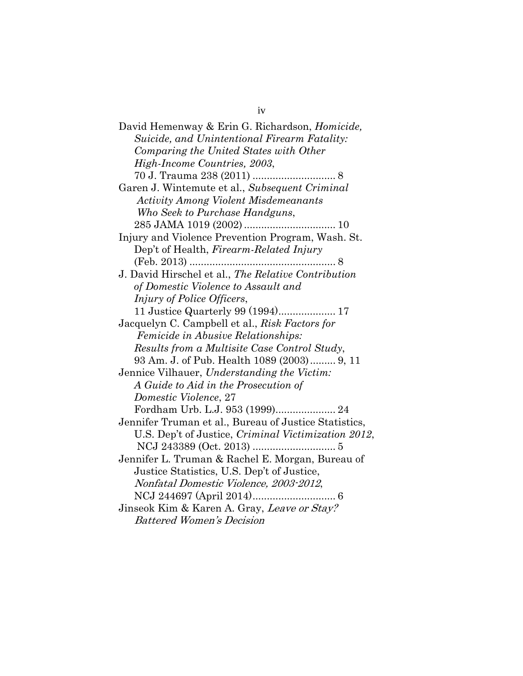| David Hemenway & Erin G. Richardson, Homicide,        |
|-------------------------------------------------------|
| Suicide, and Unintentional Firearm Fatality:          |
| Comparing the United States with Other                |
| High-Income Countries, 2003,                          |
|                                                       |
| Garen J. Wintemute et al., Subsequent Criminal        |
| <b>Activity Among Violent Misdemeanants</b>           |
| Who Seek to Purchase Handguns,                        |
|                                                       |
| Injury and Violence Prevention Program, Wash. St.     |
| Dep't of Health, Firearm-Related Injury               |
|                                                       |
| J. David Hirschel et al., The Relative Contribution   |
| of Domestic Violence to Assault and                   |
| Injury of Police Officers,                            |
| 11 Justice Quarterly 99 (1994) 17                     |
| Jacquelyn C. Campbell et al., Risk Factors for        |
| Femicide in Abusive Relationships:                    |
| Results from a Multisite Case Control Study,          |
| 93 Am. J. of Pub. Health 1089 (2003) 9, 11            |
| Jennice Vilhauer, Understanding the Victim:           |
| A Guide to Aid in the Prosecution of                  |
| Domestic Violence, 27                                 |
|                                                       |
| Jennifer Truman et al., Bureau of Justice Statistics, |
| U.S. Dep't of Justice, Criminal Victimization 2012,   |
|                                                       |
| Jennifer L. Truman & Rachel E. Morgan, Bureau of      |
| Justice Statistics, U.S. Dep't of Justice,            |
| Nonfatal Domestic Violence, 2003-2012,                |
|                                                       |
| Jinseok Kim & Karen A. Gray, Leave or Stay?           |
| <b>Battered Women's Decision</b>                      |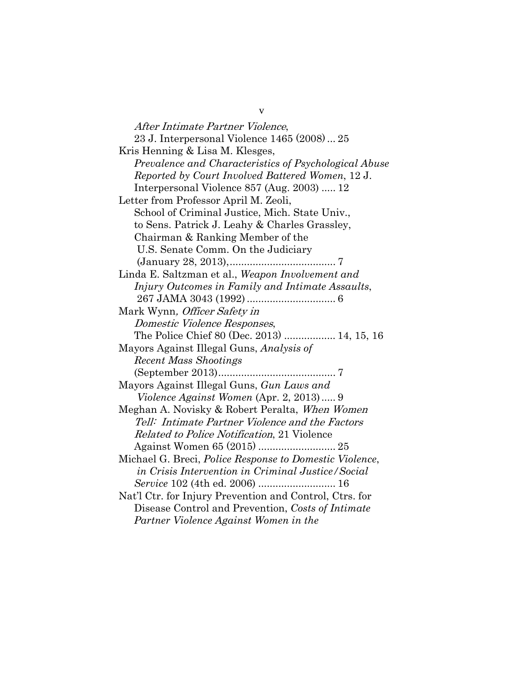After Intimate Partner Violence, 23 J. Interpersonal Violence 1465 (2008) ... 25 Kris Henning & Lisa M. Klesges, *Prevalence and Characteristics of Psychological Abuse Reported by Court Involved Battered Women*, 12 J. Interpersonal Violence 857 (Aug. 2003) ..... 12 Letter from Professor April M. Zeoli, School of Criminal Justice, Mich. State Univ., to Sens. Patrick J. Leahy & Charles Grassley, Chairman & Ranking Member of the U.S. Senate Comm. On the Judiciary (January 28, 2013), ..................................... 7 Linda E. Saltzman et al., *Weapon Involvement and Injury Outcomes in Family and Intimate Assaults*, 267 JAMA 3043 (1992) ............................... 6 Mark Wynn, Officer Safety in Domestic Violence Responses, The Police Chief 80 (Dec. 2013) .................. 14, 15, 16 Mayors Against Illegal Guns, *Analysis of Recent Mass Shootings* (September 2013) ......................................... 7 Mayors Against Illegal Guns, *Gun Laws and Violence Against Women* (Apr. 2, 2013) ..... 9 Meghan A. Novisky & Robert Peralta, When Women Tell: Intimate Partner Violence and the Factors Related to Police Notification, 21 Violence Against Women 65 (2015) ........................... 25 Michael G. Breci, *Police Response to Domestic Violence*,  *in Crisis Intervention in Criminal Justice/Social Service* 102 (4th ed. 2006) ........................... 16 Nat'l Ctr. for Injury Prevention and Control, Ctrs. for Disease Control and Prevention, *Costs of Intimate Partner Violence Against Women in the* 

v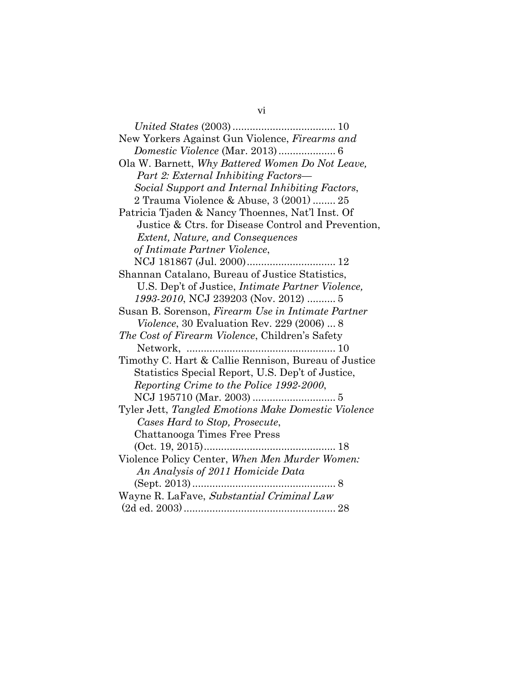| New Yorkers Against Gun Violence, Firearms and            |
|-----------------------------------------------------------|
|                                                           |
| Ola W. Barnett, Why Battered Women Do Not Leave,          |
| Part 2: External Inhibiting Factors—                      |
| Social Support and Internal Inhibiting Factors,           |
| 2 Trauma Violence & Abuse, 3 (2001)  25                   |
| Patricia Tjaden & Nancy Thoennes, Nat'l Inst. Of          |
| Justice & Ctrs. for Disease Control and Prevention,       |
| <i>Extent, Nature, and Consequences</i>                   |
| of Intimate Partner Violence,                             |
|                                                           |
| Shannan Catalano, Bureau of Justice Statistics,           |
| U.S. Dep't of Justice, <i>Intimate Partner Violence</i> , |
| 1993-2010, NCJ 239203 (Nov. 2012)  5                      |
| Susan B. Sorenson, <i>Firearm Use in Intimate Partner</i> |
| Violence, 30 Evaluation Rev. 229 (2006)  8                |
| The Cost of Firearm Violence, Children's Safety           |
|                                                           |
| Timothy C. Hart & Callie Rennison, Bureau of Justice      |
| Statistics Special Report, U.S. Dep't of Justice,         |
| Reporting Crime to the Police 1992-2000,                  |
|                                                           |
| Tyler Jett, Tangled Emotions Make Domestic Violence       |
| Cases Hard to Stop, Prosecute,                            |
| Chattanooga Times Free Press                              |
|                                                           |
| Violence Policy Center, When Men Murder Women:            |
| An Analysis of 2011 Homicide Data                         |
|                                                           |
| Wayne R. LaFave, Substantial Criminal Law                 |
|                                                           |

vi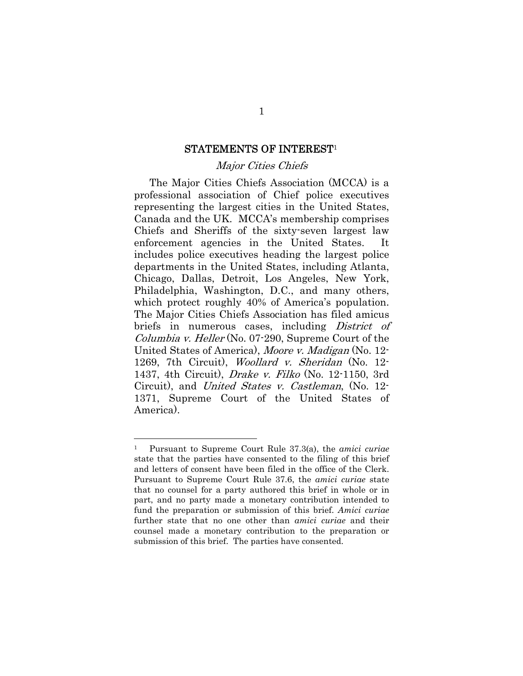#### STATEMENTS OF INTEREST<sup>1</sup>

#### Major Cities Chiefs

The Major Cities Chiefs Association (MCCA) is a professional association of Chief police executives representing the largest cities in the United States, Canada and the UK. MCCA's membership comprises Chiefs and Sheriffs of the sixty-seven largest law enforcement agencies in the United States. It includes police executives heading the largest police departments in the United States, including Atlanta, Chicago, Dallas, Detroit, Los Angeles, New York, Philadelphia, Washington, D.C., and many others, which protect roughly 40% of America's population. The Major Cities Chiefs Association has filed amicus briefs in numerous cases, including *District of* Columbia v. Heller (No. 07-290, Supreme Court of the United States of America), Moore v. Madigan (No. 12- 1269, 7th Circuit), Woollard v. Sheridan (No. 12- 1437, 4th Circuit), Drake v. Filko (No. 12-1150, 3rd Circuit), and United States v. Castleman, (No. 12- 1371, Supreme Court of the United States of America).

<sup>1</sup> Pursuant to Supreme Court Rule 37.3(a), the *amici curiae*  state that the parties have consented to the filing of this brief and letters of consent have been filed in the office of the Clerk. Pursuant to Supreme Court Rule 37.6, the *amici curiae* state that no counsel for a party authored this brief in whole or in part, and no party made a monetary contribution intended to fund the preparation or submission of this brief. *Amici curiae* further state that no one other than *amici curiae* and their counsel made a monetary contribution to the preparation or submission of this brief. The parties have consented.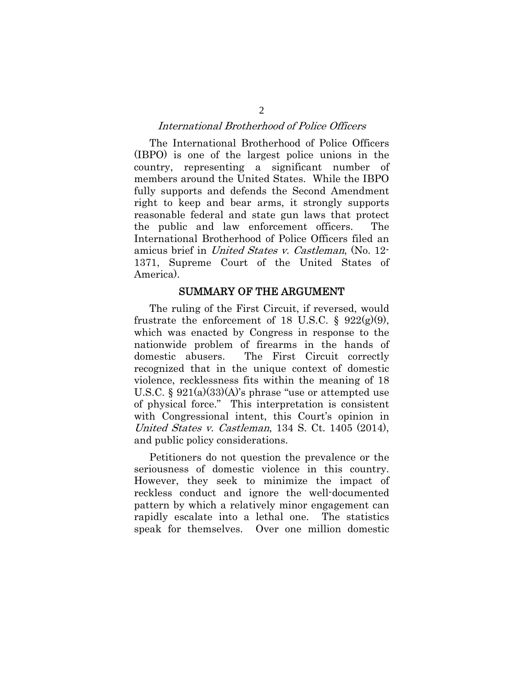### International Brotherhood of Police Officers

The International Brotherhood of Police Officers (IBPO) is one of the largest police unions in the country, representing a significant number of members around the United States. While the IBPO fully supports and defends the Second Amendment right to keep and bear arms, it strongly supports reasonable federal and state gun laws that protect the public and law enforcement officers. The International Brotherhood of Police Officers filed an amicus brief in United States v. Castleman, (No. 12- 1371, Supreme Court of the United States of America).

#### SUMMARY OF THE ARGUMENT

The ruling of the First Circuit, if reversed, would frustrate the enforcement of 18 U.S.C. §  $922(g)(9)$ , which was enacted by Congress in response to the nationwide problem of firearms in the hands of domestic abusers. The First Circuit correctly recognized that in the unique context of domestic violence, recklessness fits within the meaning of 18 U.S.C. § 921(a)(33)(A)'s phrase "use or attempted use of physical force." This interpretation is consistent with Congressional intent, this Court's opinion in United States v. Castleman, 134 S. Ct. 1405 (2014), and public policy considerations.

Petitioners do not question the prevalence or the seriousness of domestic violence in this country. However, they seek to minimize the impact of reckless conduct and ignore the well-documented pattern by which a relatively minor engagement can rapidly escalate into a lethal one. The statistics speak for themselves. Over one million domestic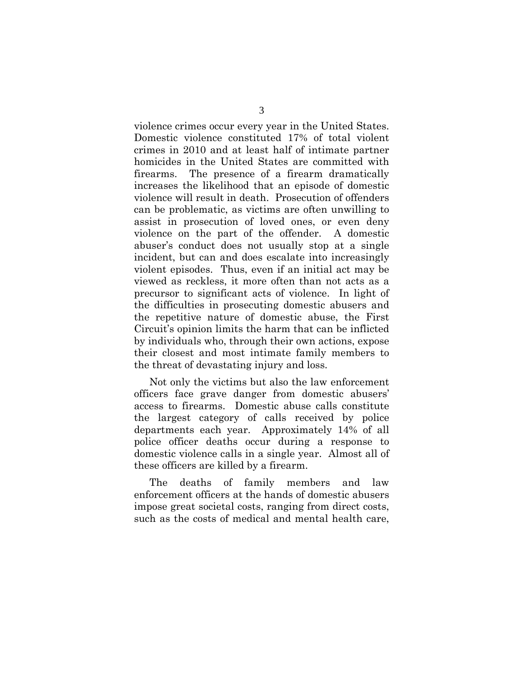violence crimes occur every year in the United States. Domestic violence constituted 17% of total violent crimes in 2010 and at least half of intimate partner homicides in the United States are committed with firearms. The presence of a firearm dramatically increases the likelihood that an episode of domestic violence will result in death. Prosecution of offenders can be problematic, as victims are often unwilling to assist in prosecution of loved ones, or even deny violence on the part of the offender. A domestic abuser's conduct does not usually stop at a single incident, but can and does escalate into increasingly violent episodes. Thus, even if an initial act may be viewed as reckless, it more often than not acts as a precursor to significant acts of violence. In light of the difficulties in prosecuting domestic abusers and the repetitive nature of domestic abuse, the First Circuit's opinion limits the harm that can be inflicted by individuals who, through their own actions, expose their closest and most intimate family members to the threat of devastating injury and loss.

Not only the victims but also the law enforcement officers face grave danger from domestic abusers' access to firearms. Domestic abuse calls constitute the largest category of calls received by police departments each year. Approximately 14% of all police officer deaths occur during a response to domestic violence calls in a single year. Almost all of these officers are killed by a firearm.

The deaths of family members and law enforcement officers at the hands of domestic abusers impose great societal costs, ranging from direct costs, such as the costs of medical and mental health care,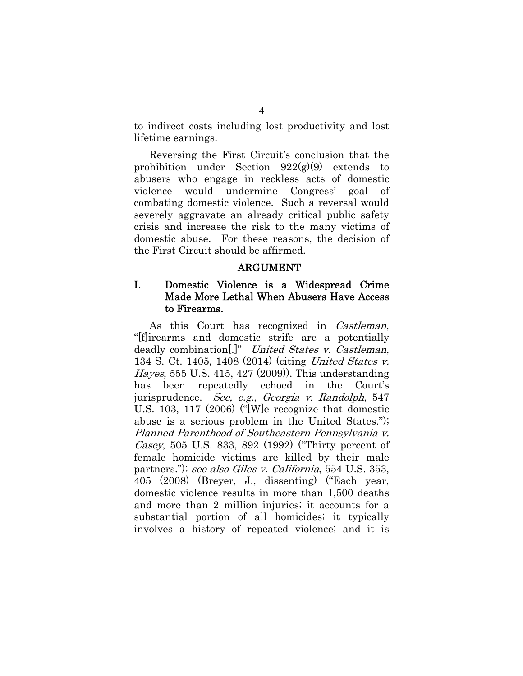to indirect costs including lost productivity and lost lifetime earnings.

Reversing the First Circuit's conclusion that the prohibition under Section 922(g)(9) extends to abusers who engage in reckless acts of domestic violence would undermine Congress' goal combating domestic violence. Such a reversal would severely aggravate an already critical public safety crisis and increase the risk to the many victims of domestic abuse. For these reasons, the decision of the First Circuit should be affirmed.

### ARGUMENT

### I. Domestic Violence is a Widespread Crime Made More Lethal When Abusers Have Access to Firearms.

As this Court has recognized in Castleman, "[f]irearms and domestic strife are a potentially deadly combination[.]" United States v. Castleman, 134 S. Ct. 1405, 1408 (2014) (citing United States v. Hayes, 555 U.S. 415, 427 (2009)). This understanding has been repeatedly echoed in the Court's jurisprudence. See, e.g., Georgia v. Randolph, 547 U.S. 103, 117 (2006) ("[W]e recognize that domestic abuse is a serious problem in the United States."); Planned Parenthood of Southeastern Pennsylvania v. Casey, 505 U.S. 833, 892 (1992) ("Thirty percent of female homicide victims are killed by their male partners."); see also Giles v. California, 554 U.S. 353, 405 (2008) (Breyer, J., dissenting) ("Each year, domestic violence results in more than 1,500 deaths and more than 2 million injuries; it accounts for a substantial portion of all homicides; it typically involves a history of repeated violence; and it is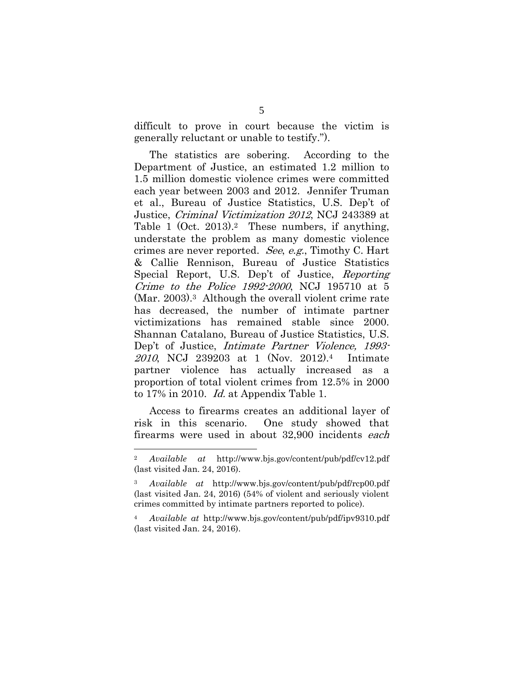difficult to prove in court because the victim is generally reluctant or unable to testify.").

The statistics are sobering. According to the Department of Justice, an estimated 1.2 million to 1.5 million domestic violence crimes were committed each year between 2003 and 2012. Jennifer Truman et al., Bureau of Justice Statistics, U.S. Dep't of Justice, Criminal Victimization 2012, NCJ 243389 at Table 1 (Oct. 2013).<sup>2</sup> These numbers, if anything, understate the problem as many domestic violence crimes are never reported. See, e.g., Timothy C. Hart & Callie Rennison, Bureau of Justice Statistics Special Report, U.S. Dep't of Justice, Reporting Crime to the Police 1992-2000, NCJ 195710 at 5 (Mar. 2003).3 Although the overall violent crime rate has decreased, the number of intimate partner victimizations has remained stable since 2000. Shannan Catalano, Bureau of Justice Statistics, U.S. Dep't of Justice, Intimate Partner Violence, 1993- 2010, NCJ 239203 at 1 (Nov. 2012).4 Intimate partner violence has actually increased as a proportion of total violent crimes from 12.5% in 2000 to 17% in 2010. Id. at Appendix Table 1.

Access to firearms creates an additional layer of risk in this scenario. One study showed that firearms were used in about 32,900 incidents each

<sup>2</sup> *Available at* http://www.bjs.gov/content/pub/pdf/cv12.pdf (last visited Jan. 24, 2016).

<sup>3</sup> *Available at* http://www.bjs.gov/content/pub/pdf/rcp00.pdf (last visited Jan. 24, 2016) (54% of violent and seriously violent crimes committed by intimate partners reported to police).

<sup>4</sup> *Available at* http://www.bjs.gov/content/pub/pdf/ipv9310.pdf (last visited Jan. 24, 2016).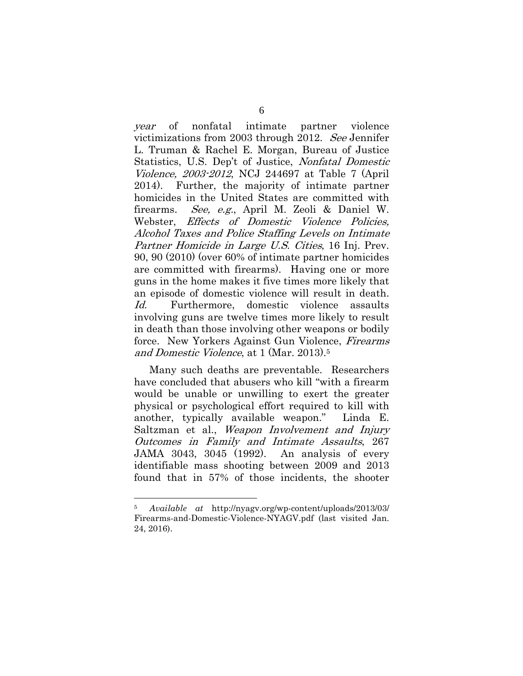year of nonfatal intimate partner violence victimizations from 2003 through 2012. See Jennifer L. Truman & Rachel E. Morgan, Bureau of Justice Statistics, U.S. Dep't of Justice, Nonfatal Domestic Violence, 2003-2012, NCJ 244697 at Table 7 (April 2014). Further, the majority of intimate partner homicides in the United States are committed with firearms. See, e.g., April M. Zeoli & Daniel W. Webster, *Effects of Domestic Violence Policies*, Alcohol Taxes and Police Staffing Levels on Intimate Partner Homicide in Large U.S. Cities, 16 Inj. Prev. 90, 90 (2010) (over 60% of intimate partner homicides are committed with firearms). Having one or more guns in the home makes it five times more likely that an episode of domestic violence will result in death. Id. Furthermore, domestic violence assaults involving guns are twelve times more likely to result in death than those involving other weapons or bodily force. New Yorkers Against Gun Violence, Firearms and Domestic Violence, at 1 (Mar. 2013).5

Many such deaths are preventable. Researchers have concluded that abusers who kill "with a firearm would be unable or unwilling to exert the greater physical or psychological effort required to kill with another, typically available weapon." Linda E. Saltzman et al., Weapon Involvement and Injury Outcomes in Family and Intimate Assaults, 267 JAMA 3043, 3045 (1992). An analysis of every identifiable mass shooting between 2009 and 2013 found that in 57% of those incidents, the shooter

<sup>5</sup> *Available at* http://nyagv.org/wp-content/uploads/2013/03/ Firearms-and-Domestic-Violence-NYAGV.pdf (last visited Jan. 24, 2016).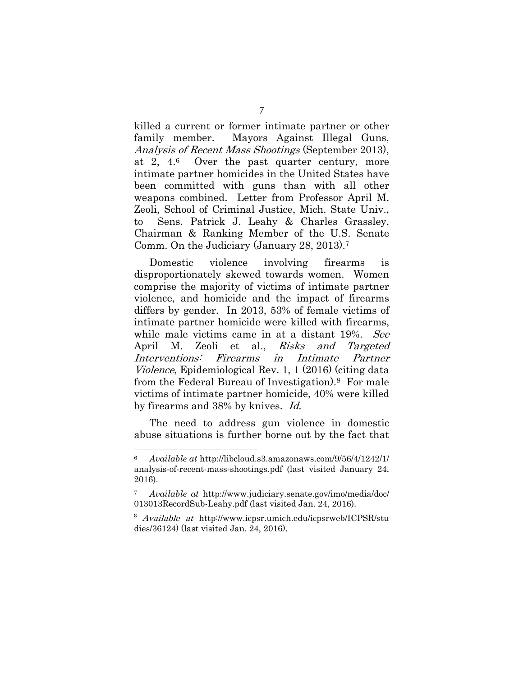killed a current or former intimate partner or other family member. Mayors Against Illegal Guns, Analysis of Recent Mass Shootings (September 2013), at 2, 4.6 Over the past quarter century, more intimate partner homicides in the United States have been committed with guns than with all other weapons combined. Letter from Professor April M. Zeoli, School of Criminal Justice, Mich. State Univ., to Sens. Patrick J. Leahy & Charles Grassley, Chairman & Ranking Member of the U.S. Senate Comm. On the Judiciary (January 28, 2013).7

Domestic violence involving firearms is disproportionately skewed towards women. Women comprise the majority of victims of intimate partner violence, and homicide and the impact of firearms differs by gender. In 2013, 53% of female victims of intimate partner homicide were killed with firearms, while male victims came in at a distant 19%. See April M. Zeoli et al., *Risks and Targeted* Interventions: Firearms in Intimate Partner Violence, Epidemiological Rev. 1, 1 (2016) (citing data from the Federal Bureau of Investigation).8 For male victims of intimate partner homicide, 40% were killed by firearms and 38% by knives. Id.

The need to address gun violence in domestic abuse situations is further borne out by the fact that

<sup>6</sup> *Available at* http://libcloud.s3.amazonaws.com/9/56/4/1242/1/ analysis-of-recent-mass-shootings.pdf (last visited January 24, 2016).

<sup>7</sup> *Available at* http://www.judiciary.senate.gov/imo/media/doc/ 013013RecordSub-Leahy.pdf (last visited Jan. 24, 2016).

<sup>8</sup> Available at http://www.icpsr.umich.edu/icpsrweb/ICPSR/stu dies/36124) (last visited Jan. 24, 2016).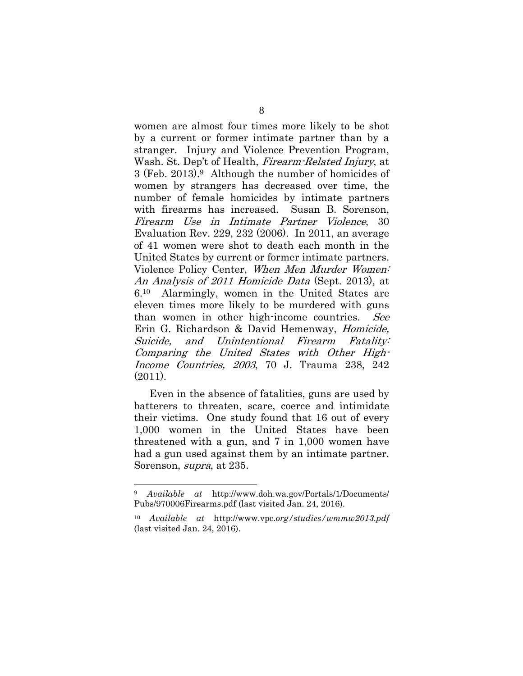women are almost four times more likely to be shot by a current or former intimate partner than by a stranger. Injury and Violence Prevention Program, Wash. St. Dep't of Health, *Firearm-Related Injury*, at 3 (Feb. 2013).9 Although the number of homicides of women by strangers has decreased over time, the number of female homicides by intimate partners with firearms has increased. Susan B. Sorenson, Firearm Use in Intimate Partner Violence, 30 Evaluation Rev. 229, 232 (2006). In 2011, an average of 41 women were shot to death each month in the United States by current or former intimate partners. Violence Policy Center, When Men Murder Women: An Analysis of 2011 Homicide Data (Sept. 2013), at 6.10 Alarmingly, women in the United States are eleven times more likely to be murdered with guns than women in other high-income countries. See Erin G. Richardson & David Hemenway, Homicide, Suicide, and Unintentional Firearm Fatality: Comparing the United States with Other High-Income Countries, 2003, 70 J. Trauma 238, 242 (2011).

Even in the absence of fatalities, guns are used by batterers to threaten, scare, coerce and intimidate their victims. One study found that 16 out of every 1,000 women in the United States have been threatened with a gun, and 7 in 1,000 women have had a gun used against them by an intimate partner. Sorenson, *supra*, at 235.

<sup>9</sup> *Available at* http://www.doh.wa.gov/Portals/1/Documents/ Pubs/970006Firearms.pdf (last visited Jan. 24, 2016).

<sup>10</sup> *Available at* http://www.vpc.*org/studies/wmmw2013.pdf*  (last visited Jan. 24, 2016).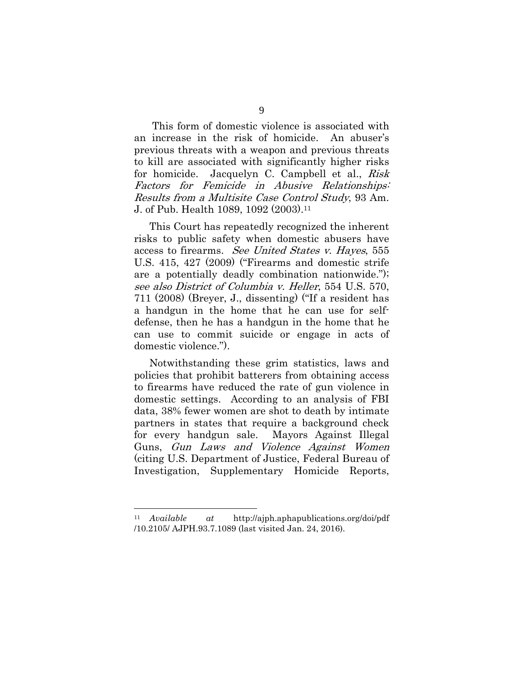This form of domestic violence is associated with an increase in the risk of homicide. An abuser's previous threats with a weapon and previous threats to kill are associated with significantly higher risks for homicide. Jacquelyn C. Campbell et al., Risk Factors for Femicide in Abusive Relationships: Results from a Multisite Case Control Study, 93 Am. J. of Pub. Health 1089, 1092 (2003).11

This Court has repeatedly recognized the inherent risks to public safety when domestic abusers have access to firearms. See United States v. Hayes, 555 U.S. 415, 427 (2009) ("Firearms and domestic strife are a potentially deadly combination nationwide."); see also District of Columbia v. Heller, 554 U.S. 570, 711 (2008) (Breyer, J., dissenting) ("If a resident has a handgun in the home that he can use for selfdefense, then he has a handgun in the home that he can use to commit suicide or engage in acts of domestic violence.").

Notwithstanding these grim statistics, laws and policies that prohibit batterers from obtaining access to firearms have reduced the rate of gun violence in domestic settings. According to an analysis of FBI data, 38% fewer women are shot to death by intimate partners in states that require a background check for every handgun sale. Mayors Against Illegal Guns, Gun Laws and Violence Against Women (citing U.S. Department of Justice, Federal Bureau of Investigation, Supplementary Homicide Reports,

<sup>11</sup> *Available at* http://ajph.aphapublications.org/doi/pdf /10.2105/ AJPH.93.7.1089 (last visited Jan. 24, 2016).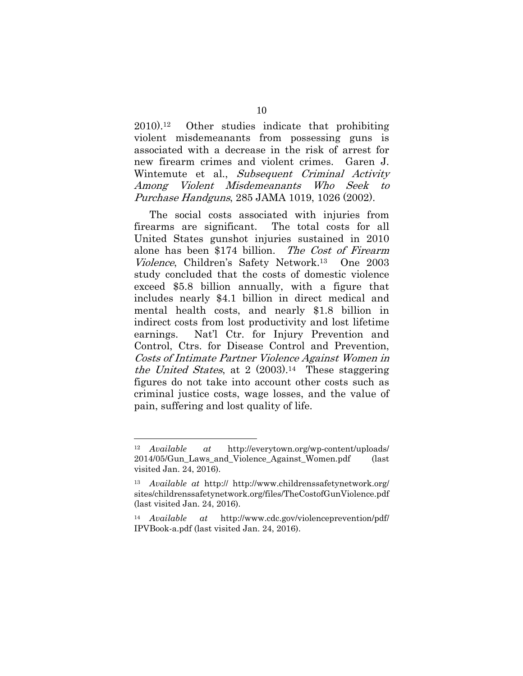2010).12 Other studies indicate that prohibiting violent misdemeanants from possessing guns is associated with a decrease in the risk of arrest for new firearm crimes and violent crimes. Garen J. Wintemute et al., Subsequent Criminal Activity Among Violent Misdemeanants Who Seek to Purchase Handguns, 285 JAMA 1019, 1026 (2002).

The social costs associated with injuries from firearms are significant. The total costs for all United States gunshot injuries sustained in 2010 alone has been \$174 billion. The Cost of Firearm Violence, Children's Safety Network.13 One 2003 study concluded that the costs of domestic violence exceed \$5.8 billion annually, with a figure that includes nearly \$4.1 billion in direct medical and mental health costs, and nearly \$1.8 billion in indirect costs from lost productivity and lost lifetime earnings. Nat'l Ctr. for Injury Prevention and Control, Ctrs. for Disease Control and Prevention, Costs of Intimate Partner Violence Against Women in the United States, at  $2(2003).14$  These staggering figures do not take into account other costs such as criminal justice costs, wage losses, and the value of pain, suffering and lost quality of life.

<sup>12</sup> *Available at* http://everytown.org/wp-content/uploads/ 2014/05/Gun\_Laws\_and\_Violence\_Against\_Women.pdf (last visited Jan. 24, 2016).

<sup>13</sup> *Available at* http:// http://www.childrenssafetynetwork.org/ sites/childrenssafetynetwork.org/files/TheCostofGunViolence.pdf (last visited Jan. 24, 2016).

<sup>14</sup> *Available at* http://www.cdc.gov/violenceprevention/pdf/ IPVBook-a.pdf (last visited Jan. 24, 2016).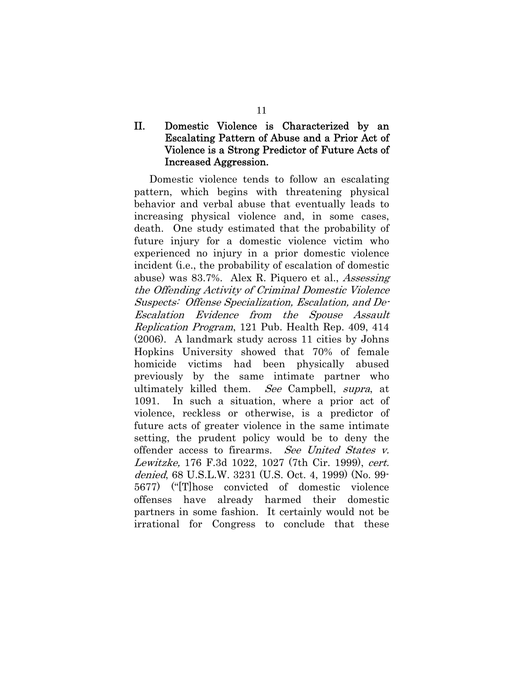## II. Domestic Violence is Characterized by an Escalating Pattern of Abuse and a Prior Act of Violence is a Strong Predictor of Future Acts of Increased Aggression.

 Domestic violence tends to follow an escalating pattern, which begins with threatening physical behavior and verbal abuse that eventually leads to increasing physical violence and, in some cases, death. One study estimated that the probability of future injury for a domestic violence victim who experienced no injury in a prior domestic violence incident (i.e., the probability of escalation of domestic abuse) was 83.7%. Alex R. Piquero et al., Assessing the Offending Activity of Criminal Domestic Violence Suspects: Offense Specialization, Escalation, and De-Escalation Evidence from the Spouse Assault Replication Program, 121 Pub. Health Rep. 409, 414 (2006). A landmark study across 11 cities by Johns Hopkins University showed that 70% of female homicide victims had been physically abused previously by the same intimate partner who ultimately killed them. See Campbell, supra, at 1091. In such a situation, where a prior act of violence, reckless or otherwise, is a predictor of future acts of greater violence in the same intimate setting, the prudent policy would be to deny the offender access to firearms. See United States v. Lewitzke, 176 F.3d 1022, 1027 (7th Cir. 1999), cert. denied, 68 U.S.L.W. 3231 (U.S. Oct. 4, 1999) (No. 99- 5677) ("[T]hose convicted of domestic violence offenses have already harmed their domestic partners in some fashion. It certainly would not be irrational for Congress to conclude that these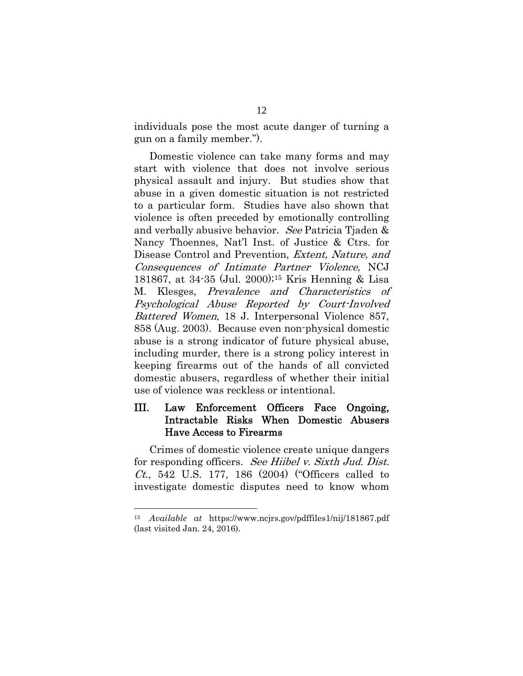individuals pose the most acute danger of turning a gun on a family member.").

Domestic violence can take many forms and may start with violence that does not involve serious physical assault and injury. But studies show that abuse in a given domestic situation is not restricted to a particular form. Studies have also shown that violence is often preceded by emotionally controlling and verbally abusive behavior. See Patricia Tjaden & Nancy Thoennes, Nat'l Inst. of Justice & Ctrs. for Disease Control and Prevention, Extent, Nature, and Consequences of Intimate Partner Violence, NCJ 181867, at 34-35 (Jul. 2000);15 Kris Henning & Lisa M. Klesges, Prevalence and Characteristics of Psychological Abuse Reported by Court-Involved Battered Women, 18 J. Interpersonal Violence 857, 858 (Aug. 2003). Because even non-physical domestic abuse is a strong indicator of future physical abuse, including murder, there is a strong policy interest in keeping firearms out of the hands of all convicted domestic abusers, regardless of whether their initial use of violence was reckless or intentional.

## III. Law Enforcement Officers Face Ongoing, Intractable Risks When Domestic Abusers Have Access to Firearms

Crimes of domestic violence create unique dangers for responding officers. See Hiibel v. Sixth Jud. Dist. *Ct.*, 542 U.S. 177, 186  $(2004)$  ("Officers called to investigate domestic disputes need to know whom

<sup>15</sup> *Available at* https://www.ncjrs.gov/pdffiles1/nij/181867.pdf (last visited Jan. 24, 2016).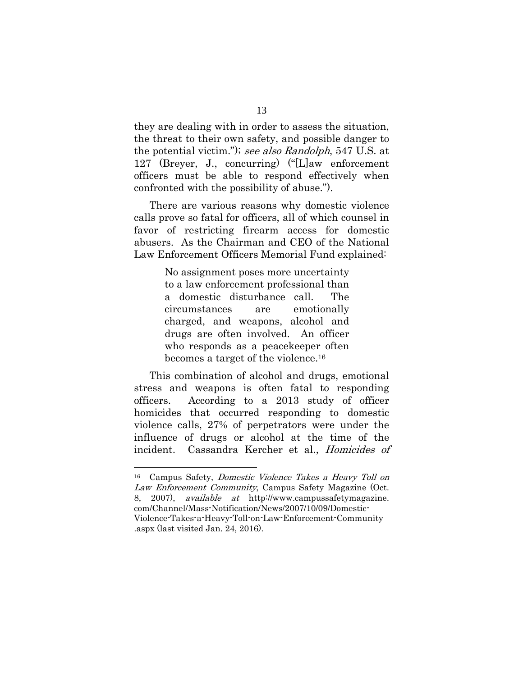they are dealing with in order to assess the situation, the threat to their own safety, and possible danger to the potential victim."); see also Randolph, 547 U.S. at 127 (Breyer, J., concurring) ("[L]aw enforcement officers must be able to respond effectively when confronted with the possibility of abuse.").

There are various reasons why domestic violence calls prove so fatal for officers, all of which counsel in favor of restricting firearm access for domestic abusers. As the Chairman and CEO of the National Law Enforcement Officers Memorial Fund explained:

> No assignment poses more uncertainty to a law enforcement professional than a domestic disturbance call. The circumstances are emotionally charged, and weapons, alcohol and drugs are often involved. An officer who responds as a peacekeeper often becomes a target of the violence.16

This combination of alcohol and drugs, emotional stress and weapons is often fatal to responding officers. According to a 2013 study of officer homicides that occurred responding to domestic violence calls, 27% of perpetrators were under the influence of drugs or alcohol at the time of the incident. Cassandra Kercher et al., Homicides of

<sup>16</sup> Campus Safety, Domestic Violence Takes a Heavy Toll on Law Enforcement Community, Campus Safety Magazine (Oct. 8, 2007), available at http://www.campussafetymagazine. com/Channel/Mass-Notification/News/2007/10/09/Domestic-Violence-Takes-a-Heavy-Toll-on-Law-Enforcement-Community .aspx (last visited Jan. 24, 2016).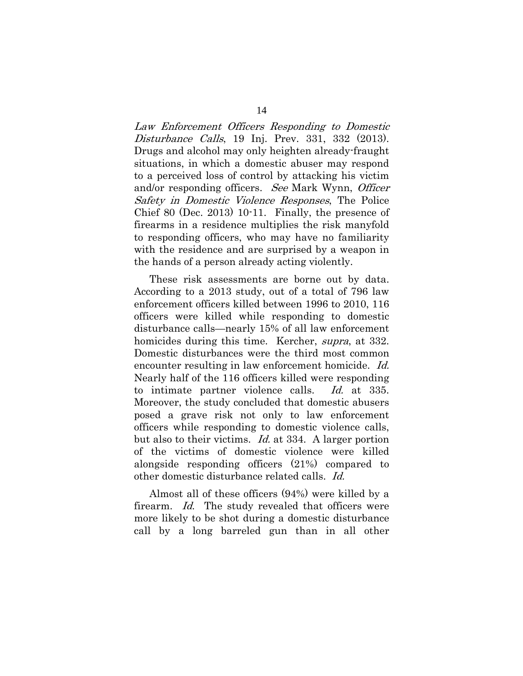Law Enforcement Officers Responding to Domestic Disturbance Calls, 19 Inj. Prev. 331, 332 (2013). Drugs and alcohol may only heighten already-fraught situations, in which a domestic abuser may respond to a perceived loss of control by attacking his victim and/or responding officers. See Mark Wynn, Officer Safety in Domestic Violence Responses, The Police Chief 80 (Dec. 2013) 10-11. Finally, the presence of firearms in a residence multiplies the risk manyfold to responding officers, who may have no familiarity with the residence and are surprised by a weapon in the hands of a person already acting violently.

These risk assessments are borne out by data. According to a 2013 study, out of a total of 796 law enforcement officers killed between 1996 to 2010, 116 officers were killed while responding to domestic disturbance calls—nearly 15% of all law enforcement homicides during this time. Kercher, *supra*, at 332. Domestic disturbances were the third most common encounter resulting in law enforcement homicide. Id. Nearly half of the 116 officers killed were responding to intimate partner violence calls. Id. at 335. Moreover, the study concluded that domestic abusers posed a grave risk not only to law enforcement officers while responding to domestic violence calls, but also to their victims. *Id.* at 334. A larger portion of the victims of domestic violence were killed alongside responding officers (21%) compared to other domestic disturbance related calls. Id.

Almost all of these officers (94%) were killed by a firearm. Id. The study revealed that officers were more likely to be shot during a domestic disturbance call by a long barreled gun than in all other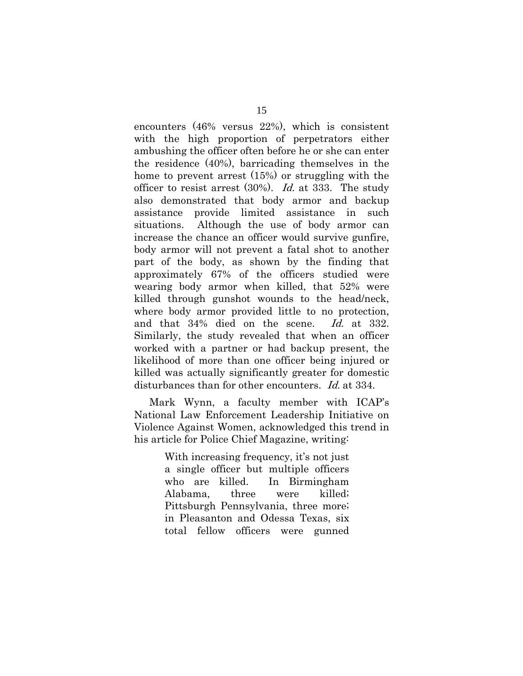encounters (46% versus 22%), which is consistent with the high proportion of perpetrators either ambushing the officer often before he or she can enter the residence (40%), barricading themselves in the home to prevent arrest (15%) or struggling with the officer to resist arrest  $(30\%)$ . *Id.* at 333. The study also demonstrated that body armor and backup assistance provide limited assistance in such situations. Although the use of body armor can increase the chance an officer would survive gunfire, body armor will not prevent a fatal shot to another part of the body, as shown by the finding that approximately 67% of the officers studied were wearing body armor when killed, that 52% were killed through gunshot wounds to the head/neck, where body armor provided little to no protection, and that 34% died on the scene. Id. at 332. Similarly, the study revealed that when an officer worked with a partner or had backup present, the likelihood of more than one officer being injured or killed was actually significantly greater for domestic disturbances than for other encounters. *Id.* at 334.

Mark Wynn, a faculty member with ICAP's National Law Enforcement Leadership Initiative on Violence Against Women, acknowledged this trend in his article for Police Chief Magazine, writing:

> With increasing frequency, it's not just a single officer but multiple officers who are killed. In Birmingham Alabama, three were killed; Pittsburgh Pennsylvania, three more; in Pleasanton and Odessa Texas, six total fellow officers were gunned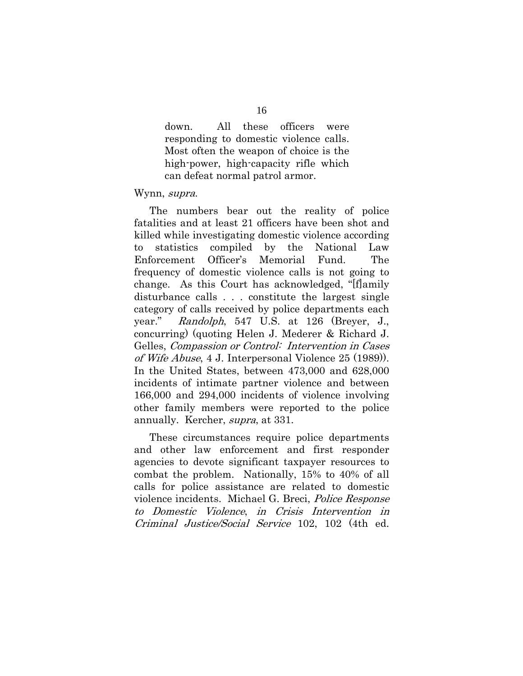down. All these officers were responding to domestic violence calls. Most often the weapon of choice is the high-power, high-capacity rifle which can defeat normal patrol armor.

#### Wynn, supra.

The numbers bear out the reality of police fatalities and at least 21 officers have been shot and killed while investigating domestic violence according to statistics compiled by the National Law Enforcement Officer's Memorial Fund. The frequency of domestic violence calls is not going to change. As this Court has acknowledged, "[f]amily disturbance calls . . . constitute the largest single category of calls received by police departments each year." Randolph, 547 U.S. at 126 (Breyer, J., concurring) (quoting Helen J. Mederer & Richard J. Gelles, Compassion or Control: Intervention in Cases of Wife Abuse, 4 J. Interpersonal Violence 25 (1989)). In the United States, between 473,000 and 628,000 incidents of intimate partner violence and between 166,000 and 294,000 incidents of violence involving other family members were reported to the police annually. Kercher, supra, at 331.

These circumstances require police departments and other law enforcement and first responder agencies to devote significant taxpayer resources to combat the problem. Nationally, 15% to 40% of all calls for police assistance are related to domestic violence incidents. Michael G. Breci, Police Response to Domestic Violence, in Crisis Intervention in Criminal Justice/Social Service 102, 102 (4th ed.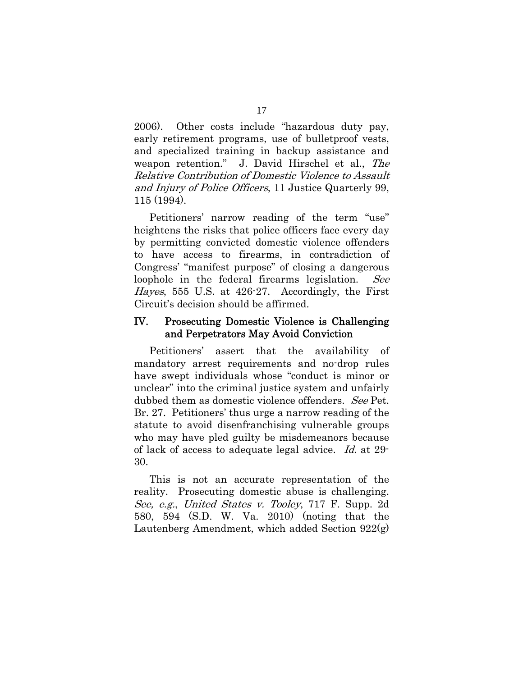2006). Other costs include "hazardous duty pay, early retirement programs, use of bulletproof vests, and specialized training in backup assistance and weapon retention." J. David Hirschel et al., The Relative Contribution of Domestic Violence to Assault and Injury of Police Officers, 11 Justice Quarterly 99, 115 (1994).

 Petitioners' narrow reading of the term "use" heightens the risks that police officers face every day by permitting convicted domestic violence offenders to have access to firearms, in contradiction of Congress' "manifest purpose" of closing a dangerous loophole in the federal firearms legislation. See Hayes, 555 U.S. at 426-27. Accordingly, the First Circuit's decision should be affirmed.

### IV. Prosecuting Domestic Violence is Challenging and Perpetrators May Avoid Conviction

Petitioners' assert that the availability of mandatory arrest requirements and no-drop rules have swept individuals whose "conduct is minor or unclear" into the criminal justice system and unfairly dubbed them as domestic violence offenders. See Pet. Br. 27. Petitioners' thus urge a narrow reading of the statute to avoid disenfranchising vulnerable groups who may have pled guilty be misdemeanors because of lack of access to adequate legal advice. Id. at 29- 30.

This is not an accurate representation of the reality. Prosecuting domestic abuse is challenging. See, e.g., United States v. Tooley, 717 F. Supp. 2d 580, 594 (S.D. W. Va. 2010) (noting that the Lautenberg Amendment, which added Section 922(g)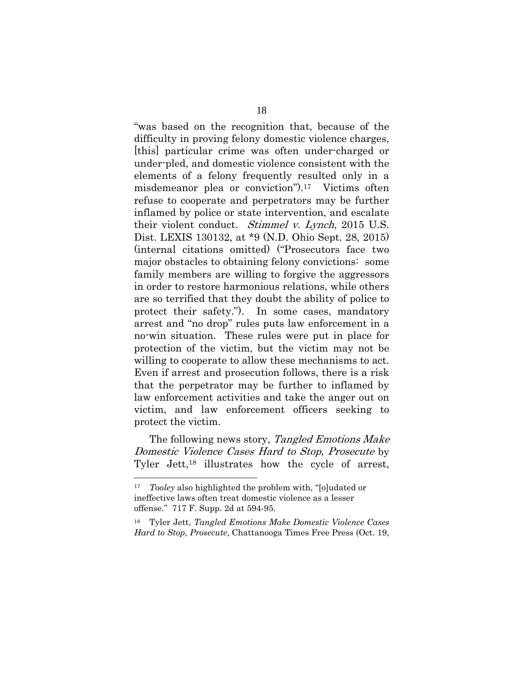"was based on the recognition that, because of the difficulty in proving felony domestic violence charges, [this] particular crime was often under-charged or under-pled, and domestic violence consistent with the elements of a felony frequently resulted only in a misdemeanor plea or conviction").17 Victims often refuse to cooperate and perpetrators may be further inflamed by police or state intervention, and escalate their violent conduct. Stimmel v. Lynch, 2015 U.S. Dist. LEXIS 130132, at \*9 (N.D. Ohio Sept. 28, 2015) (internal citations omitted) ("Prosecutors face two major obstacles to obtaining felony convictions: some family members are willing to forgive the aggressors in order to restore harmonious relations, while others are so terrified that they doubt the ability of police to protect their safety."). In some cases, mandatory arrest and "no drop" rules puts law enforcement in a no-win situation. These rules were put in place for protection of the victim, but the victim may not be willing to cooperate to allow these mechanisms to act. Even if arrest and prosecution follows, there is a risk that the perpetrator may be further to inflamed by law enforcement activities and take the anger out on victim, and law enforcement officers seeking to protect the victim.

The following news story, Tangled Emotions Make Domestic Violence Cases Hard to Stop, Prosecute by Tyler Jett,18 illustrates how the cycle of arrest,

<sup>17</sup> *Tooley* also highlighted the problem with, "[o]udated or ineffective laws often treat domestic violence as a lesser offense." 717 F. Supp. 2d at 594-95.

<sup>18</sup> Tyler Jett, *Tangled Emotions Make Domestic Violence Cases Hard to Stop, Prosecute*, Chattanooga Times Free Press (Oct. 19,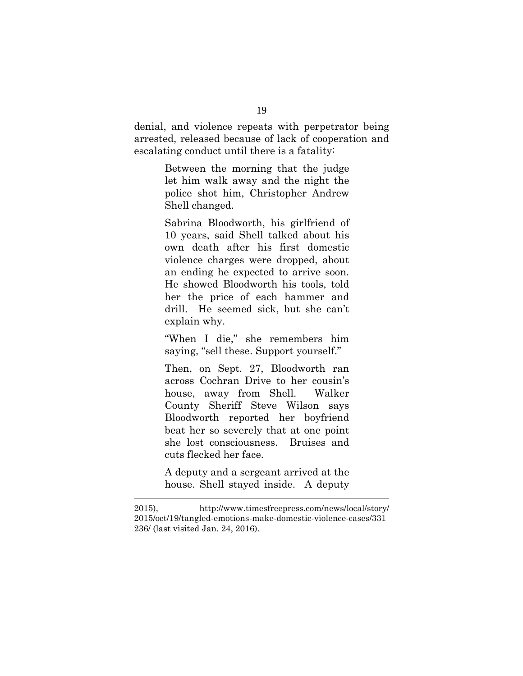denial, and violence repeats with perpetrator being arrested, released because of lack of cooperation and escalating conduct until there is a fatality:

> Between the morning that the judge let him walk away and the night the police shot him, Christopher Andrew Shell changed.

> Sabrina Bloodworth, his girlfriend of 10 years, said Shell talked about his own death after his first domestic violence charges were dropped, about an ending he expected to arrive soon. He showed Bloodworth his tools, told her the price of each hammer and drill. He seemed sick, but she can't explain why.

> "When I die," she remembers him saying, "sell these. Support yourself."

Then, on Sept. 27, Bloodworth ran across Cochran Drive to her cousin's house, away from Shell. Walker County Sheriff Steve Wilson says Bloodworth reported her boyfriend beat her so severely that at one point she lost consciousness. Bruises and cuts flecked her face.

A deputy and a sergeant arrived at the house. Shell stayed inside. A deputy

l

<sup>2015),</sup> http://www.timesfreepress.com/news/local/story/ 2015/oct/19/tangled-emotions-make-domestic-violence-cases/331 236/ (last visited Jan. 24, 2016).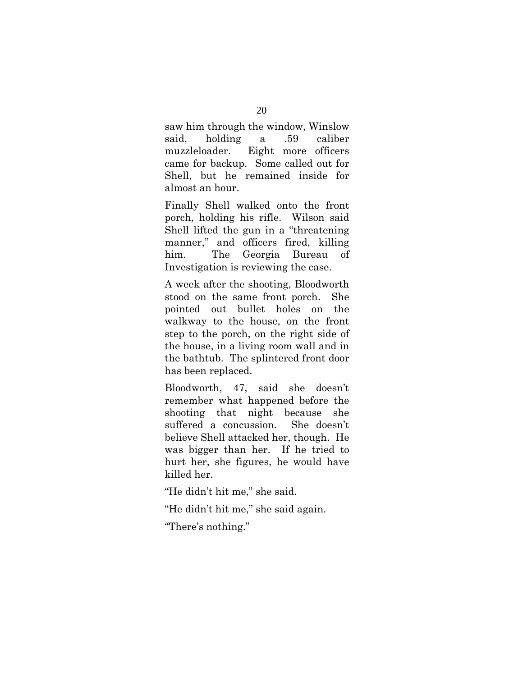saw him through the window, Winslow said, holding a .59 caliber muzzleloader. Eight more officers came for backup. Some called out for Shell, but he remained inside for almost an hour.

Finally Shell walked onto the front porch, holding his rifle. Wilson said Shell lifted the gun in a "threatening manner," and officers fired, killing him. The Georgia Bureau of Investigation is reviewing the case.

A week after the shooting, Bloodworth stood on the same front porch. She pointed out bullet holes on the walkway to the house, on the front step to the porch, on the right side of the house, in a living room wall and in the bathtub. The splintered front door has been replaced.

Bloodworth, 47, said she doesn't remember what happened before the shooting that night because she suffered a concussion. She doesn't believe Shell attacked her, though. He was bigger than her. If he tried to hurt her, she figures, he would have killed her.

"He didn't hit me," she said.

"He didn't hit me," she said again.

"There's nothing."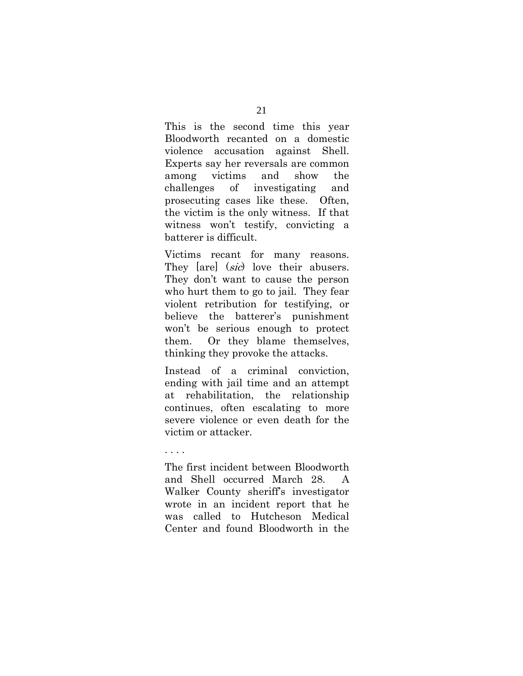This is the second time this year Bloodworth recanted on a domestic violence accusation against Shell. Experts say her reversals are common among victims and show the challenges of investigating and prosecuting cases like these. Often, the victim is the only witness. If that witness won't testify, convicting a batterer is difficult.

Victims recant for many reasons. They [are] (sic) love their abusers. They don't want to cause the person who hurt them to go to jail. They fear violent retribution for testifying, or believe the batterer's punishment won't be serious enough to protect them. Or they blame themselves, thinking they provoke the attacks.

Instead of a criminal conviction, ending with jail time and an attempt at rehabilitation, the relationship continues, often escalating to more severe violence or even death for the victim or attacker.

. . . .

The first incident between Bloodworth and Shell occurred March 28. A Walker County sheriff's investigator wrote in an incident report that he was called to Hutcheson Medical Center and found Bloodworth in the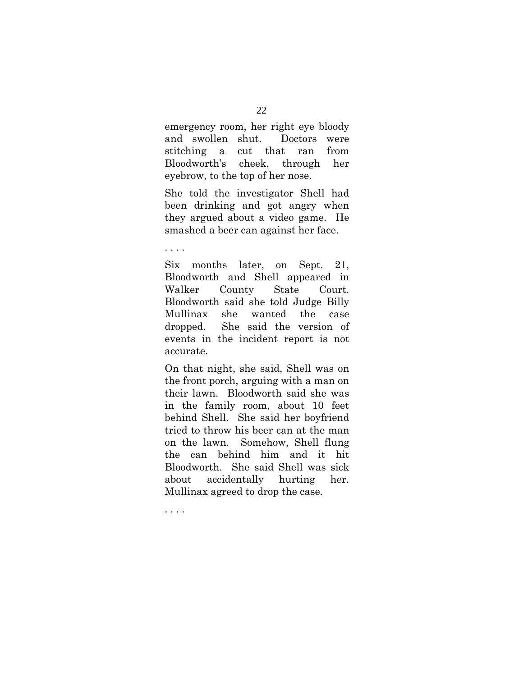emergency room, her right eye bloody and swollen shut. Doctors were stitching a cut that ran from Bloodworth's cheek, through her eyebrow, to the top of her nose.

She told the investigator Shell had been drinking and got angry when they argued about a video game. He smashed a beer can against her face.

. . . .

Six months later, on Sept. 21, Bloodworth and Shell appeared in Walker County State Court. Bloodworth said she told Judge Billy Mullinax she wanted the case dropped. She said the version of events in the incident report is not accurate.

On that night, she said, Shell was on the front porch, arguing with a man on their lawn. Bloodworth said she was in the family room, about 10 feet behind Shell. She said her boyfriend tried to throw his beer can at the man on the lawn. Somehow, Shell flung the can behind him and it hit Bloodworth. She said Shell was sick about accidentally hurting her. Mullinax agreed to drop the case.

. . . .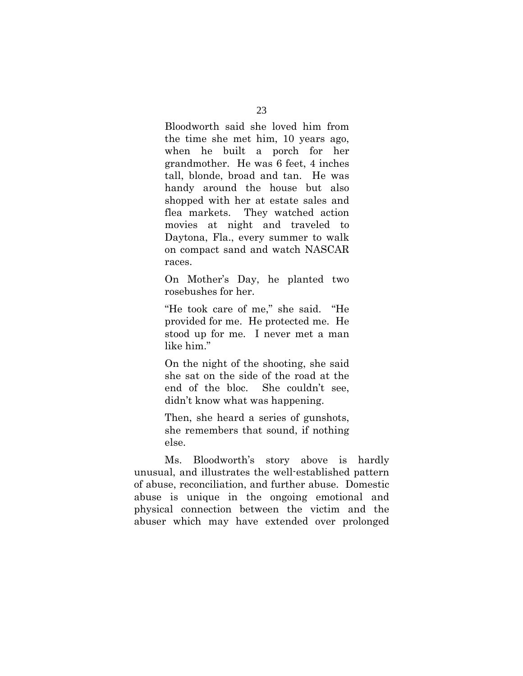Bloodworth said she loved him from the time she met him, 10 years ago, when he built a porch for her grandmother. He was 6 feet, 4 inches tall, blonde, broad and tan. He was handy around the house but also shopped with her at estate sales and flea markets. They watched action movies at night and traveled to Daytona, Fla., every summer to walk on compact sand and watch NASCAR races.

On Mother's Day, he planted two rosebushes for her.

"He took care of me," she said. "He provided for me. He protected me. He stood up for me. I never met a man like him."

On the night of the shooting, she said she sat on the side of the road at the end of the bloc. She couldn't see, didn't know what was happening.

Then, she heard a series of gunshots, she remembers that sound, if nothing else.

Ms. Bloodworth's story above is hardly unusual, and illustrates the well-established pattern of abuse, reconciliation, and further abuse. Domestic abuse is unique in the ongoing emotional and physical connection between the victim and the abuser which may have extended over prolonged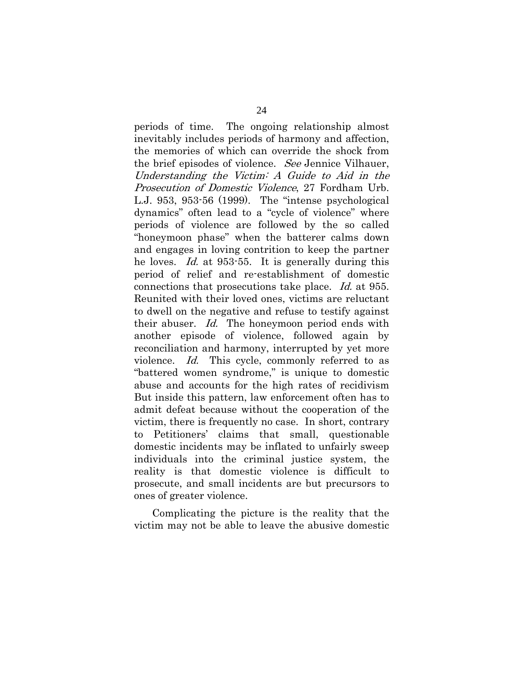periods of time. The ongoing relationship almost inevitably includes periods of harmony and affection, the memories of which can override the shock from the brief episodes of violence. See Jennice Vilhauer, Understanding the Victim: A Guide to Aid in the Prosecution of Domestic Violence, 27 Fordham Urb. L.J. 953, 953-56 (1999). The "intense psychological dynamics" often lead to a "cycle of violence" where periods of violence are followed by the so called "honeymoon phase" when the batterer calms down and engages in loving contrition to keep the partner he loves. *Id.* at 953-55. It is generally during this period of relief and re-establishment of domestic connections that prosecutions take place. Id. at 955. Reunited with their loved ones, victims are reluctant to dwell on the negative and refuse to testify against their abuser. Id. The honeymoon period ends with another episode of violence, followed again by reconciliation and harmony, interrupted by yet more violence. Id. This cycle, commonly referred to as "battered women syndrome," is unique to domestic abuse and accounts for the high rates of recidivism But inside this pattern, law enforcement often has to admit defeat because without the cooperation of the victim, there is frequently no case. In short, contrary to Petitioners' claims that small, questionable domestic incidents may be inflated to unfairly sweep individuals into the criminal justice system, the reality is that domestic violence is difficult to prosecute, and small incidents are but precursors to ones of greater violence.

 Complicating the picture is the reality that the victim may not be able to leave the abusive domestic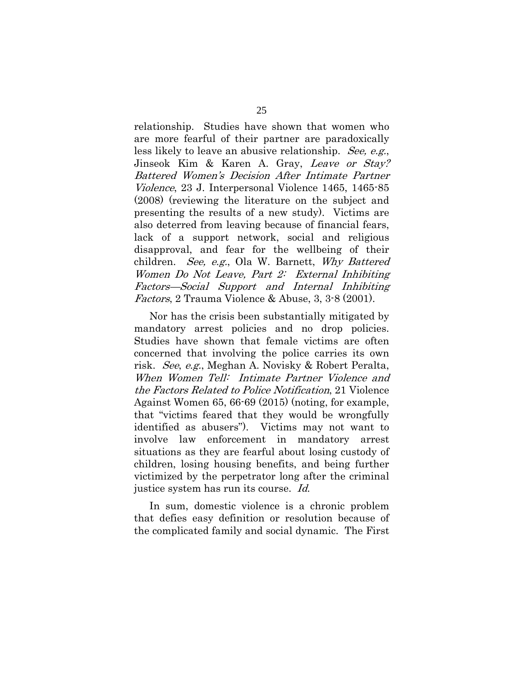relationship. Studies have shown that women who are more fearful of their partner are paradoxically less likely to leave an abusive relationship. See, e.g., Jinseok Kim & Karen A. Gray, Leave or Stay? Battered Women's Decision After Intimate Partner Violence, 23 J. Interpersonal Violence 1465, 1465-85 (2008) (reviewing the literature on the subject and presenting the results of a new study). Victims are also deterred from leaving because of financial fears, lack of a support network, social and religious disapproval, and fear for the wellbeing of their children. See, e.g., Ola W. Barnett, Why Battered Women Do Not Leave, Part 2: External Inhibiting Factors—Social Support and Internal Inhibiting Factors, 2 Trauma Violence & Abuse, 3, 3-8 (2001).

 Nor has the crisis been substantially mitigated by mandatory arrest policies and no drop policies. Studies have shown that female victims are often concerned that involving the police carries its own risk. See, e.g., Meghan A. Novisky & Robert Peralta, When Women Tell: Intimate Partner Violence and the Factors Related to Police Notification, 21 Violence Against Women 65, 66-69 (2015) (noting, for example, that "victims feared that they would be wrongfully identified as abusers"). Victims may not want to involve law enforcement in mandatory arrest situations as they are fearful about losing custody of children, losing housing benefits, and being further victimized by the perpetrator long after the criminal justice system has run its course. Id.

 In sum, domestic violence is a chronic problem that defies easy definition or resolution because of the complicated family and social dynamic. The First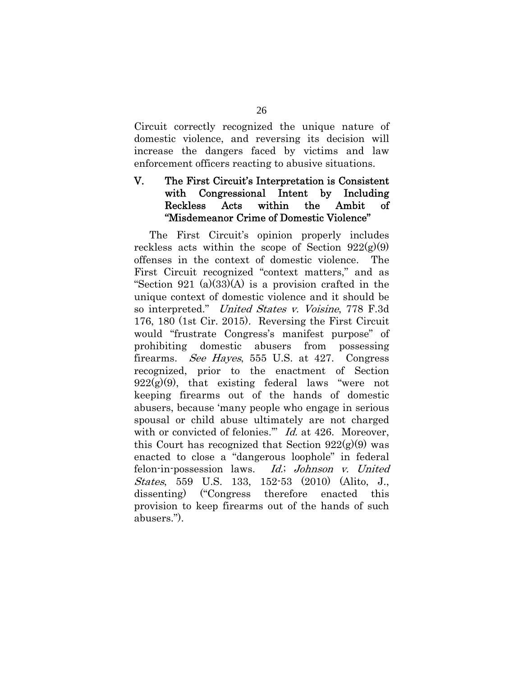Circuit correctly recognized the unique nature of domestic violence, and reversing its decision will increase the dangers faced by victims and law enforcement officers reacting to abusive situations.

## V. The First Circuit's Interpretation is Consistent with Congressional Intent by Including Reckless Acts within the Ambit of "Misdemeanor Crime of Domestic Violence"

The First Circuit's opinion properly includes reckless acts within the scope of Section  $922(g)(9)$ offenses in the context of domestic violence. The First Circuit recognized "context matters," and as "Section 921 (a)(33)(A) is a provision crafted in the unique context of domestic violence and it should be so interpreted." United States v. Voisine, 778 F.3d 176, 180 (1st Cir. 2015). Reversing the First Circuit would "frustrate Congress's manifest purpose" of prohibiting domestic abusers from possessing firearms. See Hayes, 555 U.S. at 427. Congress recognized, prior to the enactment of Section  $922(g)(9)$ , that existing federal laws "were not keeping firearms out of the hands of domestic abusers, because 'many people who engage in serious spousal or child abuse ultimately are not charged with or convicted of felonies." *Id.* at 426. Moreover, this Court has recognized that Section  $922(g)(9)$  was enacted to close a "dangerous loophole" in federal felon-in-possession laws. Id.; Johnson v. United States, 559 U.S. 133, 152-53 (2010) (Alito, J., dissenting) ("Congress therefore enacted this provision to keep firearms out of the hands of such abusers.").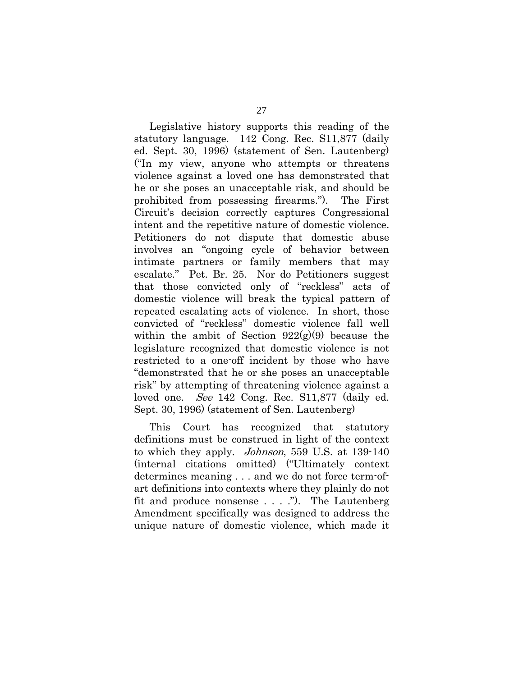Legislative history supports this reading of the statutory language. 142 Cong. Rec. S11,877 (daily ed. Sept. 30, 1996) (statement of Sen. Lautenberg) ("In my view, anyone who attempts or threatens violence against a loved one has demonstrated that he or she poses an unacceptable risk, and should be prohibited from possessing firearms."). The First Circuit's decision correctly captures Congressional intent and the repetitive nature of domestic violence. Petitioners do not dispute that domestic abuse involves an "ongoing cycle of behavior between intimate partners or family members that may escalate." Pet. Br. 25. Nor do Petitioners suggest that those convicted only of "reckless" acts of domestic violence will break the typical pattern of repeated escalating acts of violence. In short, those convicted of "reckless" domestic violence fall well within the ambit of Section  $922(g)(9)$  because the legislature recognized that domestic violence is not restricted to a one-off incident by those who have "demonstrated that he or she poses an unacceptable risk" by attempting of threatening violence against a loved one. *See* 142 Cong. Rec. S11,877 (daily ed. Sept. 30, 1996) (statement of Sen. Lautenberg)

 This Court has recognized that statutory definitions must be construed in light of the context to which they apply. *Johnson*, 559 U.S. at 139-140 (internal citations omitted) ("Ultimately context determines meaning . . . and we do not force term-ofart definitions into contexts where they plainly do not fit and produce nonsense . . . ."). The Lautenberg Amendment specifically was designed to address the unique nature of domestic violence, which made it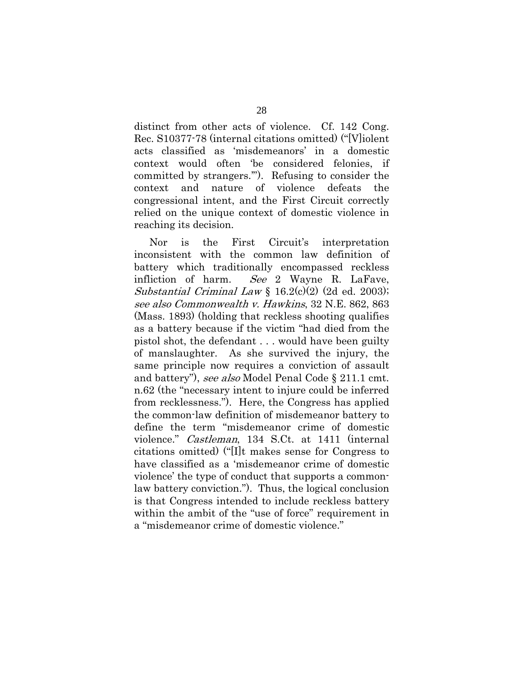distinct from other acts of violence. Cf. 142 Cong. Rec. S10377-78 (internal citations omitted) ("[V]iolent acts classified as 'misdemeanors' in a domestic context would often 'be considered felonies, if committed by strangers.'"). Refusing to consider the context and nature of violence defeats the congressional intent, and the First Circuit correctly relied on the unique context of domestic violence in reaching its decision.

Nor is the First Circuit's interpretation inconsistent with the common law definition of battery which traditionally encompassed reckless infliction of harm. See 2 Wayne R. LaFave, Substantial Criminal Law § 16.2(c)(2) (2d ed. 2003); see also Commonwealth v. Hawkins, 32 N.E. 862, 863 (Mass. 1893) (holding that reckless shooting qualifies as a battery because if the victim "had died from the pistol shot, the defendant . . . would have been guilty of manslaughter. As she survived the injury, the same principle now requires a conviction of assault and battery"), see also Model Penal Code § 211.1 cmt. n.62 (the "necessary intent to injure could be inferred from recklessness."). Here, the Congress has applied the common-law definition of misdemeanor battery to define the term "misdemeanor crime of domestic violence." Castleman, 134 S.Ct. at 1411 (internal citations omitted) ("[I]t makes sense for Congress to have classified as a 'misdemeanor crime of domestic violence' the type of conduct that supports a commonlaw battery conviction."). Thus, the logical conclusion is that Congress intended to include reckless battery within the ambit of the "use of force" requirement in a "misdemeanor crime of domestic violence."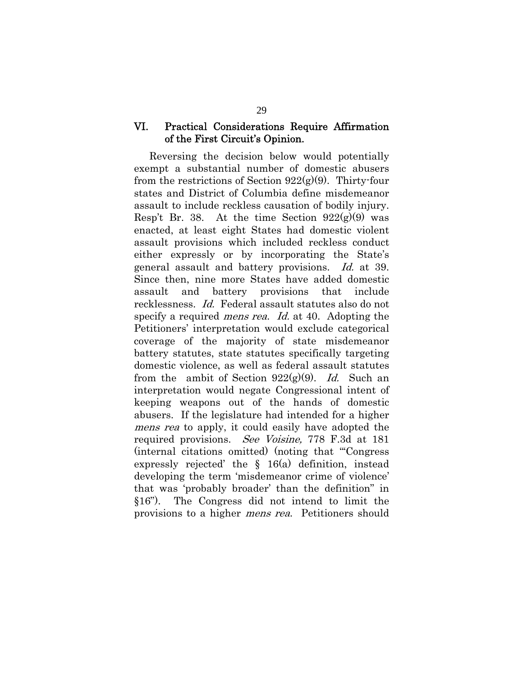### VI. Practical Considerations Require Affirmation of the First Circuit's Opinion.

Reversing the decision below would potentially exempt a substantial number of domestic abusers from the restrictions of Section  $922(g)(9)$ . Thirty-four states and District of Columbia define misdemeanor assault to include reckless causation of bodily injury. Resp't Br. 38. At the time Section  $922(g)(9)$  was enacted, at least eight States had domestic violent assault provisions which included reckless conduct either expressly or by incorporating the State's general assault and battery provisions. Id. at 39. Since then, nine more States have added domestic assault and battery provisions that include recklessness. Id. Federal assault statutes also do not specify a required *mens rea. Id.* at 40. Adopting the Petitioners' interpretation would exclude categorical coverage of the majority of state misdemeanor battery statutes, state statutes specifically targeting domestic violence, as well as federal assault statutes from the ambit of Section  $922(g)(9)$ . Id. Such an interpretation would negate Congressional intent of keeping weapons out of the hands of domestic abusers. If the legislature had intended for a higher mens rea to apply, it could easily have adopted the required provisions. *See Voisine*, 778 F.3d at 181 (internal citations omitted) (noting that "'Congress expressly rejected' the § 16(a) definition, instead developing the term 'misdemeanor crime of violence' that was 'probably broader' than the definition" in §16"). The Congress did not intend to limit the provisions to a higher mens rea. Petitioners should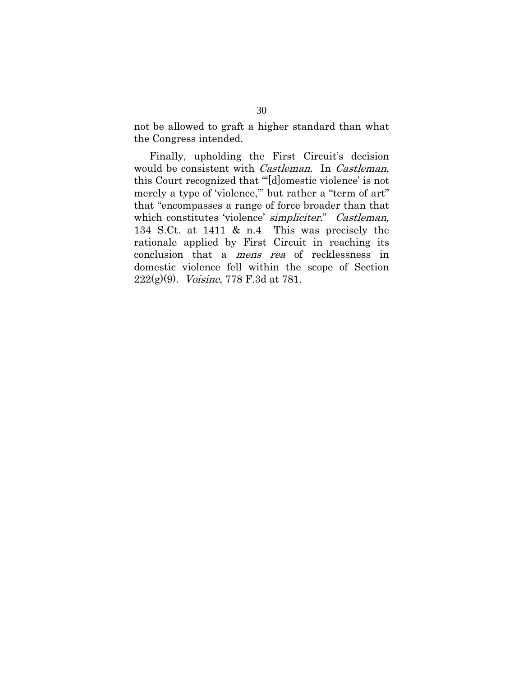not be allowed to graft a higher standard than what the Congress intended.

 Finally, upholding the First Circuit's decision would be consistent with *Castleman*. In *Castleman*, this Court recognized that "'[d]omestic violence' is not merely a type of 'violence,'" but rather a "term of art" that "encompasses a range of force broader than that which constitutes 'violence' simpliciter." Castleman, 134 S.Ct. at 1411 & n.4 This was precisely the rationale applied by First Circuit in reaching its conclusion that a mens rea of recklessness in domestic violence fell within the scope of Section  $222(g)(9)$ . *Voisine*, 778 F.3d at 781.